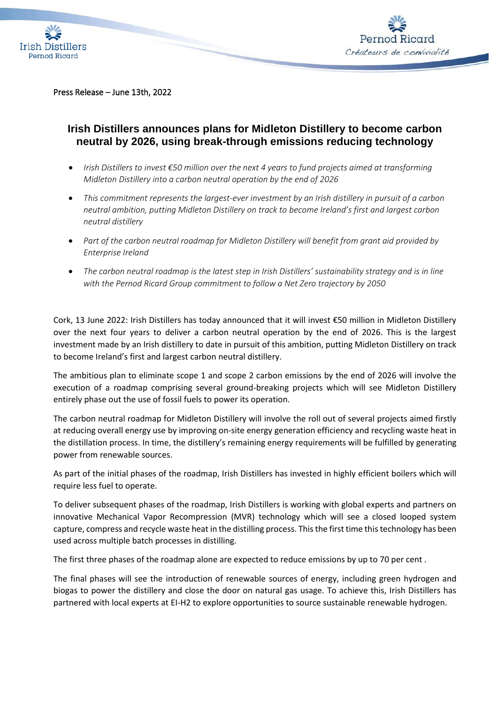



Press Release – June 13th, 2022

## **Irish Distillers announces plans for Midleton Distillery to become carbon neutral by 2026, using break-through emissions reducing technology**

- *Irish Distillers to invest €50 million over the next 4 years to fund projects aimed at transforming Midleton Distillery into a carbon neutral operation by the end of 2026*
- *This commitment represents the largest-ever investment by an Irish distillery in pursuit of a carbon neutral ambition, putting Midleton Distillery on track to become Ireland's first and largest carbon neutral distillery*
- *Part of the carbon neutral roadmap for Midleton Distillery will benefit from grant aid provided by Enterprise Ireland*
- *The carbon neutral roadmap is the latest step in Irish Distillers' sustainability strategy and is in line with the Pernod Ricard Group commitment to follow a Net Zero trajectory by 2050*

Cork, 13 June 2022: Irish Distillers has today announced that it will invest €50 million in Midleton Distillery over the next four years to deliver a carbon neutral operation by the end of 2026. This is the largest investment made by an Irish distillery to date in pursuit of this ambition, putting Midleton Distillery on track to become Ireland's first and largest carbon neutral distillery.

The ambitious plan to eliminate scope 1 and scope 2 carbon emissions by the end of 2026 will involve the execution of a roadmap comprising several ground-breaking projects which will see Midleton Distillery entirely phase out the use of fossil fuels to power its operation.

The carbon neutral roadmap for Midleton Distillery will involve the roll out of several projects aimed firstly at reducing overall energy use by improving on-site energy generation efficiency and recycling waste heat in the distillation process. In time, the distillery's remaining energy requirements will be fulfilled by generating power from renewable sources.

As part of the initial phases of the roadmap, Irish Distillers has invested in highly efficient boilers which will require less fuel to operate.

To deliver subsequent phases of the roadmap, Irish Distillers is working with global experts and partners on innovative Mechanical Vapor Recompression (MVR) technology which will see a closed looped system capture, compress and recycle waste heat in the distilling process. This the first time this technology has been used across multiple batch processes in distilling.

The first three phases of the roadmap alone are expected to reduce emissions by up to 70 per cent .

The final phases will see the introduction of renewable sources of energy, including green hydrogen and biogas to power the distillery and close the door on natural gas usage. To achieve this, Irish Distillers has partnered with local experts at EI-H2 to explore opportunities to source sustainable renewable hydrogen.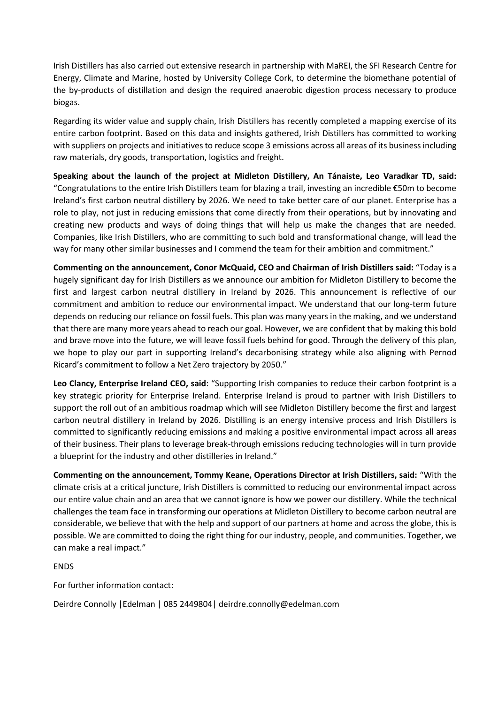Irish Distillers has also carried out extensive research in partnership with MaREI, the SFI Research Centre for Energy, Climate and Marine, hosted by University College Cork, to determine the biomethane potential of the by-products of distillation and design the required anaerobic digestion process necessary to produce biogas.

Regarding its wider value and supply chain, Irish Distillers has recently completed a mapping exercise of its entire carbon footprint. Based on this data and insights gathered, Irish Distillers has committed to working with suppliers on projects and initiatives to reduce scope 3 emissions across all areas of its business including raw materials, dry goods, transportation, logistics and freight.

**Speaking about the launch of the project at Midleton Distillery, An Tánaiste, Leo Varadkar TD, said:** "Congratulations to the entire Irish Distillers team for blazing a trail, investing an incredible €50m to become Ireland's first carbon neutral distillery by 2026. We need to take better care of our planet. Enterprise has a role to play, not just in reducing emissions that come directly from their operations, but by innovating and creating new products and ways of doing things that will help us make the changes that are needed. Companies, like Irish Distillers, who are committing to such bold and transformational change, will lead the way for many other similar businesses and I commend the team for their ambition and commitment."

**Commenting on the announcement, Conor McQuaid, CEO and Chairman of Irish Distillers said:** "Today is a hugely significant day for Irish Distillers as we announce our ambition for Midleton Distillery to become the first and largest carbon neutral distillery in Ireland by 2026. This announcement is reflective of our commitment and ambition to reduce our environmental impact. We understand that our long-term future depends on reducing our reliance on fossil fuels. This plan was many years in the making, and we understand that there are many more years ahead to reach our goal. However, we are confident that by making this bold and brave move into the future, we will leave fossil fuels behind for good. Through the delivery of this plan, we hope to play our part in supporting Ireland's decarbonising strategy while also aligning with Pernod Ricard's commitment to follow a Net Zero trajectory by 2050."

**Leo Clancy, Enterprise Ireland CEO, said**: "Supporting Irish companies to reduce their carbon footprint is a key strategic priority for Enterprise Ireland. Enterprise Ireland is proud to partner with Irish Distillers to support the roll out of an ambitious roadmap which will see Midleton Distillery become the first and largest carbon neutral distillery in Ireland by 2026. Distilling is an energy intensive process and Irish Distillers is committed to significantly reducing emissions and making a positive environmental impact across all areas of their business. Their plans to leverage break-through emissions reducing technologies will in turn provide a blueprint for the industry and other distilleries in Ireland."

**Commenting on the announcement, Tommy Keane, Operations Director at Irish Distillers, said:** "With the climate crisis at a critical juncture, Irish Distillers is committed to reducing our environmental impact across our entire value chain and an area that we cannot ignore is how we power our distillery. While the technical challenges the team face in transforming our operations at Midleton Distillery to become carbon neutral are considerable, we believe that with the help and support of our partners at home and across the globe, this is possible. We are committed to doing the right thing for our industry, people, and communities. Together, we can make a real impact."

ENDS

For further information contact:

Deirdre Connolly |Edelman | 085 2449804| deirdre.connolly@edelman.com